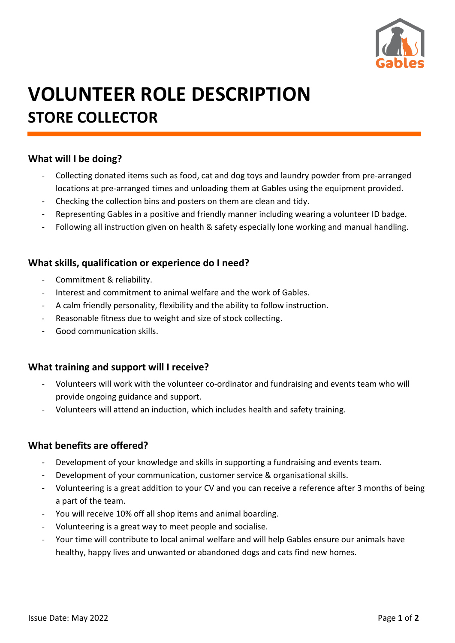

# **VOLUNTEER ROLE DESCRIPTION STORE COLLECTOR**

#### **What will I be doing?**

- Collecting donated items such as food, cat and dog toys and laundry powder from pre-arranged locations at pre-arranged times and unloading them at Gables using the equipment provided.
- Checking the collection bins and posters on them are clean and tidy.
- Representing Gables in a positive and friendly manner including wearing a volunteer ID badge.
- Following all instruction given on health & safety especially lone working and manual handling.

#### **What skills, qualification or experience do I need?**

- Commitment & reliability.
- Interest and commitment to animal welfare and the work of Gables.
- A calm friendly personality, flexibility and the ability to follow instruction.
- Reasonable fitness due to weight and size of stock collecting.
- Good communication skills.

#### **What training and support will I receive?**

- Volunteers will work with the volunteer co-ordinator and fundraising and events team who will provide ongoing guidance and support.
- Volunteers will attend an induction, which includes health and safety training.

#### **What benefits are offered?**

- Development of your knowledge and skills in supporting a fundraising and events team.
- Development of your communication, customer service & organisational skills.
- Volunteering is a great addition to your CV and you can receive a reference after 3 months of being a part of the team.
- You will receive 10% off all shop items and animal boarding.
- Volunteering is a great way to meet people and socialise.
- Your time will contribute to local animal welfare and will help Gables ensure our animals have healthy, happy lives and unwanted or abandoned dogs and cats find new homes.